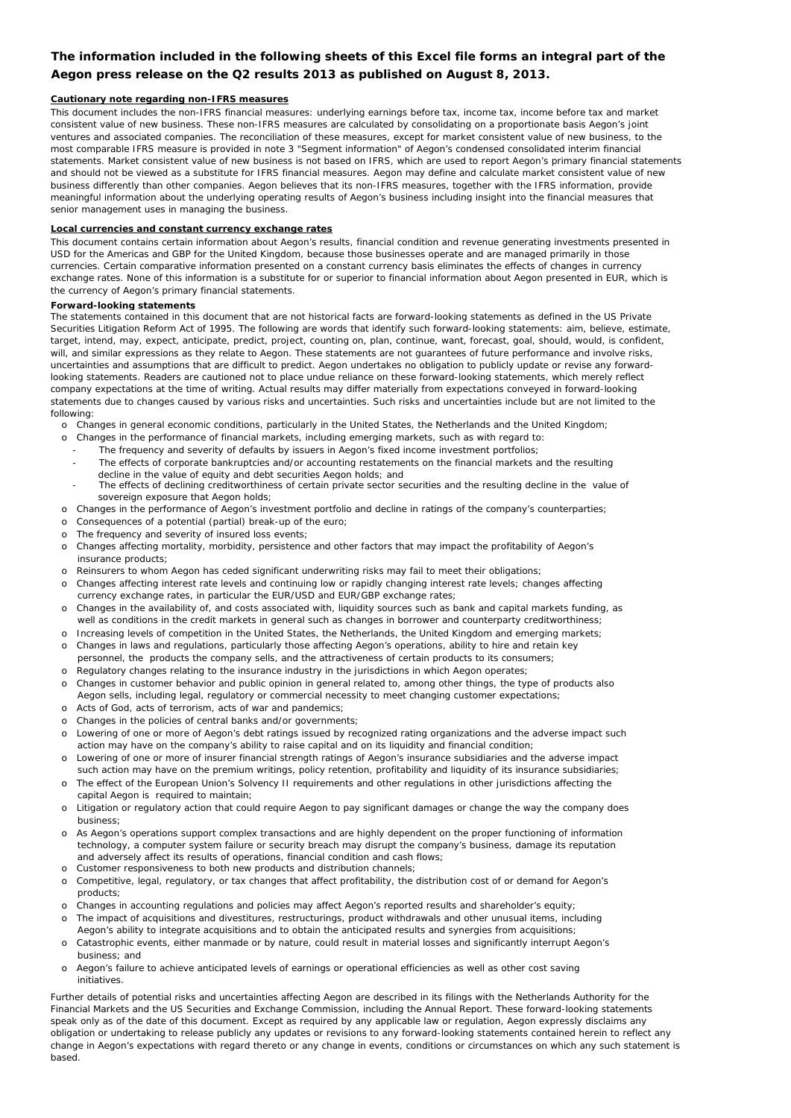### **The information included in the following sheets of this Excel file forms an integral part of the Aegon press release on the Q2 results 2013 as published on August 8, 2013.**

#### **Cautionary note regarding non-IFRS measures**

This document includes the non-IFRS financial measures: underlying earnings before tax, income tax, income before tax and market consistent value of new business. These non-IFRS measures are calculated by consolidating on a proportionate basis Aegon's joint ventures and associated companies. The reconciliation of these measures, except for market consistent value of new business, to the most comparable IFRS measure is provided in note 3 "Segment information" of Aegon's condensed consolidated interim financial statements. Market consistent value of new business is not based on IFRS, which are used to report Aegon's primary financial statements and should not be viewed as a substitute for IFRS financial measures. Aegon may define and calculate market consistent value of new business differently than other companies. Aegon believes that its non-IFRS measures, together with the IFRS information, provide meaningful information about the underlying operating results of Aegon's business including insight into the financial measures that senior management uses in managing the business.

### **Local currencies and constant currency exchange rates**

This document contains certain information about Aegon's results, financial condition and revenue generating investments presented in USD for the Americas and GBP for the United Kingdom, because those businesses operate and are managed primarily in those currencies. Certain comparative information presented on a constant currency basis eliminates the effects of changes in currency exchange rates. None of this information is a substitute for or superior to financial information about Aegon presented in EUR, which is the currency of Aegon's primary financial statements.

#### **Forward-looking statements**

The statements contained in this document that are not historical facts are forward-looking statements as defined in the US Private Securities Litigation Reform Act of 1995. The following are words that identify such forward-looking statements: aim, believe, estimate, target, intend, may, expect, anticipate, predict, project, counting on, plan, continue, want, forecast, goal, should, would, is confident, will, and similar expressions as they relate to Aegon. These statements are not guarantees of future performance and involve risks, uncertainties and assumptions that are difficult to predict. Aegon undertakes no obligation to publicly update or revise any forwardlooking statements. Readers are cautioned not to place undue reliance on these forward-looking statements, which merely reflect company expectations at the time of writing. Actual results may differ materially from expectations conveyed in forward-looking statements due to changes caused by various risks and uncertainties. Such risks and uncertainties include but are not limited to the following:

- o Changes in general economic conditions, particularly in the United States, the Netherlands and the United Kingdom;
- o Changes in the performance of financial markets, including emerging markets, such as with regard to:
	- The frequency and severity of defaults by issuers in Aegon's fixed income investment portfolios;
	- The effects of corporate bankruptcies and/or accounting restatements on the financial markets and the resulting decline in the value of equity and debt securities Aegon holds; and
	- The effects of declining creditworthiness of certain private sector securities and the resulting decline in the value of sovereign exposure that Aegon holds;
- o Changes in the performance of Aegon's investment portfolio and decline in ratings of the company's counterparties;
- o Consequences of a potential (partial) break-up of the euro;
- o The frequency and severity of insured loss events;
- o Changes affecting mortality, morbidity, persistence and other factors that may impact the profitability of Aegon's insurance products;
- o Reinsurers to whom Aegon has ceded significant underwriting risks may fail to meet their obligations;
- o Changes affecting interest rate levels and continuing low or rapidly changing interest rate levels; changes affecting currency exchange rates, in particular the EUR/USD and EUR/GBP exchange rates;
- o Changes in the availability of, and costs associated with, liquidity sources such as bank and capital markets funding, as well as conditions in the credit markets in general such as changes in borrower and counterparty creditworthiness;
- o Increasing levels of competition in the United States, the Netherlands, the United Kingdom and emerging markets;
- o Changes in laws and regulations, particularly those affecting Aegon's operations, ability to hire and retain key personnel, the products the company sells, and the attractiveness of certain products to its consumers;
- o Regulatory changes relating to the insurance industry in the jurisdictions in which Aegon operates;
- o Changes in customer behavior and public opinion in general related to, among other things, the type of products also Aegon sells, including legal, regulatory or commercial necessity to meet changing customer expectations;
- o Acts of God, acts of terrorism, acts of war and pandemics;
- o Changes in the policies of central banks and/or governments;
- o Lowering of one or more of Aegon's debt ratings issued by recognized rating organizations and the adverse impact such action may have on the company's ability to raise capital and on its liquidity and financial condition;
- o Lowering of one or more of insurer financial strength ratings of Aegon's insurance subsidiaries and the adverse impact
- such action may have on the premium writings, policy retention, profitability and liquidity of its insurance subsidiaries; o The effect of the European Union's Solvency II requirements and other regulations in other jurisdictions affecting the capital Aegon is required to maintain;
- o Litigation or regulatory action that could require Aegon to pay significant damages or change the way the company does business;
- o As Aegon's operations support complex transactions and are highly dependent on the proper functioning of information technology, a computer system failure or security breach may disrupt the company's business, damage its reputation and adversely affect its results of operations, financial condition and cash flows;
- o Customer responsiveness to both new products and distribution channels;
- o Competitive, legal, regulatory, or tax changes that affect profitability, the distribution cost of or demand for Aegon's products;
- o Changes in accounting regulations and policies may affect Aegon's reported results and shareholder's equity;
- o The impact of acquisitions and divestitures, restructurings, product withdrawals and other unusual items, including
- o Catastrophic events, either manmade or by nature, could result in material losses and significantly interrupt Aegon's business; and Aegon's ability to integrate acquisitions and to obtain the anticipated results and synergies from acquisitions;
- o Aegon's failure to achieve anticipated levels of earnings or operational efficiencies as well as other cost saving initiatives.

Further details of potential risks and uncertainties affecting Aegon are described in its filings with the Netherlands Authority for the Financial Markets and the US Securities and Exchange Commission, including the Annual Report. These forward-looking statements speak only as of the date of this document. Except as required by any applicable law or regulation, Aegon expressly disclaims any obligation or undertaking to release publicly any updates or revisions to any forward-looking statements contained herein to reflect any change in Aegon's expectations with regard thereto or any change in events, conditions or circumstances on which any such statement is based.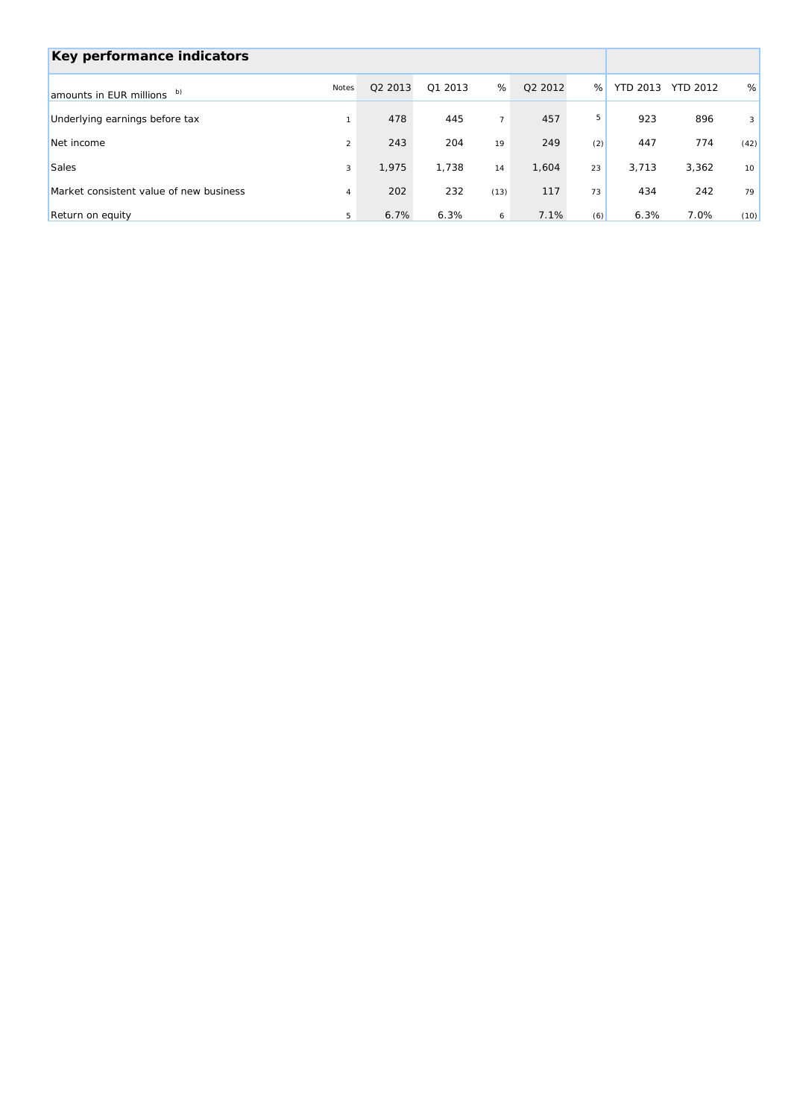| Key performance indicators              |                |         |         |                |                     |     |                 |                 |      |
|-----------------------------------------|----------------|---------|---------|----------------|---------------------|-----|-----------------|-----------------|------|
| amounts in EUR millions b)              | <b>Notes</b>   | Q2 2013 | Q1 2013 | %              | Q <sub>2</sub> 2012 | %   | <b>YTD 2013</b> | <b>YTD 2012</b> | %    |
| Underlying earnings before tax          |                | 478     | 445     | $\overline{7}$ | 457                 | 5   | 923             | 896             | 3    |
| Net income                              | $\overline{2}$ | 243     | 204     | 19             | 249                 | (2) | 447             | 774             | (42) |
| <b>Sales</b>                            | 3              | 1,975   | 1.738   | 14             | 1,604               | 23  | 3,713           | 3,362           | 10   |
| Market consistent value of new business | 4              | 202     | 232     | (13)           | 117                 | 73  | 434             | 242             | 79   |
| Return on equity                        | 5              | 6.7%    | 6.3%    | 6              | 7.1%                | (6) | 6.3%            | 7.0%            | (10) |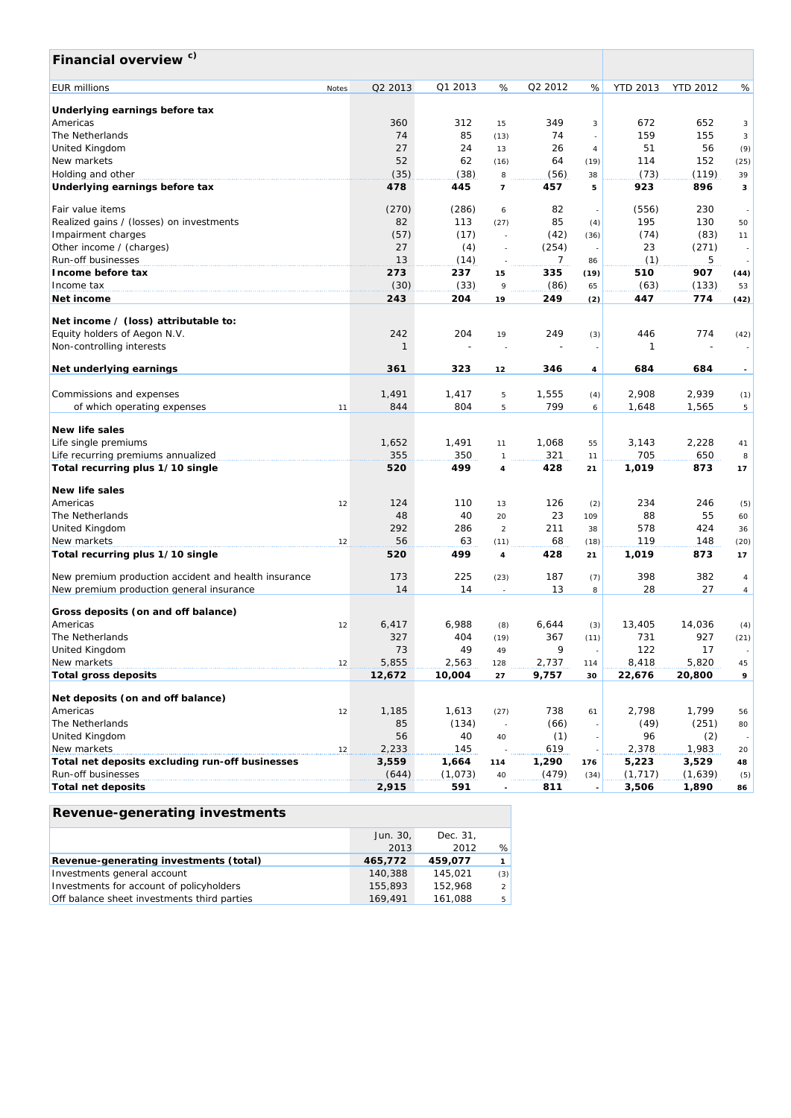| Financial overview <sup>c)</sup>                     |       |         |          |                  |         |                            |                 |                 |                  |
|------------------------------------------------------|-------|---------|----------|------------------|---------|----------------------------|-----------------|-----------------|------------------|
| <b>EUR</b> millions                                  | Notes | Q2 2013 | Q1 2013  | %                | Q2 2012 | %                          | <b>YTD 2013</b> | <b>YTD 2012</b> | %                |
| Underlying earnings before tax                       |       |         |          |                  |         |                            |                 |                 |                  |
| Americas                                             |       | 360     | 312      | 15               | 349     | $\ensuremath{\mathcal{S}}$ | 672             | 652             | 3                |
| The Netherlands                                      |       | 74      | 85       | (13)             | 74      | $\sim$                     | 159             | 155             | 3                |
| United Kingdom                                       |       | 27      | 24       | 13               | 26      | 4                          | 51              | 56              | (9)              |
| New markets                                          |       | 52      | 62       | (16)             | 64      | (19)                       | 114             | 152             | (25)             |
| Holding and other                                    |       | (35)    | (38)     | $\boldsymbol{s}$ | (56)    | 38                         | (73)            | (119)           | 39               |
| Underlying earnings before tax                       |       | 478     | 445      | $\overline{z}$   | 457     | 5                          | 923             | 896             | 3                |
| Fair value items                                     |       | (270)   | (286)    | 6                | 82      |                            | (556)           | 230             |                  |
| Realized gains / (losses) on investments             |       | 82      | 113      | (27)             | 85      | (4)                        | 195             | 130             | 50               |
| Impairment charges                                   |       | (57)    | (17)     | ÷.               | (42)    | (36)                       | (74)            | (83)            | 11               |
| Other income / (charges)                             |       | 27      | (4)      | $\sim$           | (254)   |                            | 23              | (271)           |                  |
| Run-off businesses                                   |       | 13      | (14)     |                  | 7       | 86                         | (1)             | 5               |                  |
| Income before tax                                    |       | 273     | 237      | 15               | 335     | (19)                       | 510             | 907             | (44)             |
| Income tax                                           |       | (30)    | (33)     | 9                | (86)    | 65                         | (63)            | (133)           | 53               |
| Net income                                           |       | 243     | 204      | 19               | 249     | (2)                        | 447             | 774             | (42)             |
| Net income / (loss) attributable to:                 |       |         |          |                  |         |                            |                 |                 |                  |
| Equity holders of Aegon N.V.                         |       | 242     | 204      | 19               | 249     | (3)                        | 446             | 774             | (42)             |
| Non-controlling interests                            |       | 1       |          |                  |         |                            | 1               |                 |                  |
| Net underlying earnings                              |       | 361     | 323      | 12               | 346     | 4                          | 684             | 684             |                  |
| Commissions and expenses                             |       | 1,491   | 1,417    | 5                | 1,555   | (4)                        | 2,908           | 2,939           | (1)              |
| of which operating expenses                          | 11    | 844     | 804      | 5                | 799     | 6                          | 1,648           | 1,565           | 5                |
|                                                      |       |         |          |                  |         |                            |                 |                 |                  |
| <b>New life sales</b>                                |       |         |          |                  |         |                            |                 |                 |                  |
| Life single premiums                                 |       | 1,652   | 1,491    | 11               | 1,068   | 55                         | 3,143           | 2,228           | 41               |
| Life recurring premiums annualized                   |       | 355     | 350      | $\mathcal{I}$    | 321     | 11                         | 705             | 650             | 8                |
| Total recurring plus 1/10 single                     |       | 520     | 499      | $\overline{4}$   | 428     | 21                         | 1,019           | 873             | 17               |
| <b>New life sales</b>                                |       |         |          |                  |         |                            |                 |                 |                  |
| Americas                                             | 12    | 124     | 110      | 13               | 126     | (2)                        | 234             | 246             | (5)              |
| The Netherlands                                      |       | 48      | 40       | 20               | 23      | 109                        | 88              | 55              | 60               |
| United Kingdom                                       |       | 292     | 286      | $\overline{2}$   | 211     | 38                         | 578             | 424             | 36               |
| New markets                                          | 12    | 56      | 63       | (11)             | 68      | (18)                       | 119             | 148             | (20)             |
| Total recurring plus 1/10 single                     |       | 520     | 499      | 4                | 428     | 21                         | 1,019           | 873             | 17               |
| New premium production accident and health insurance |       | 173     | 225      | (23)             | 187     | (7)                        | 398             | 382             | $\boldsymbol{4}$ |
| New premium production general insurance             |       | 14      | 14       |                  | 13      | 8                          | 28              | 27              | $\boldsymbol{4}$ |
| Gross deposits (on and off balance)                  |       |         |          |                  |         |                            |                 |                 |                  |
| Americas                                             | 12    | 6,417   | 6,988    | (8)              | 6,644   | (3)                        | 13,405          | 14,036          | (4)              |
| The Netherlands                                      |       | 327     | 404      | (19)             | 367     | (11)                       | 731             | 927             | (21)             |
| United Kingdom                                       |       | 73      | 49       | 49               | 9       |                            | 122             | 17              |                  |
| New markets                                          | 12    | 5,855   | 2,563    | 128              | 2,737   | 114                        | 8,418           | 5,820           | 45               |
| <b>Total gross deposits</b>                          |       | 12,672  | 10,004   | 27               | 9,757   | 30                         | 22,676          | 20,800          | 9                |
| Net deposits (on and off balance)                    |       |         |          |                  |         |                            |                 |                 |                  |
| Americas                                             | 12    | 1,185   | 1,613    | (27)             | 738     | 61                         | 2,798           | 1,799           | 56               |
| The Netherlands                                      |       | 85      | (134)    |                  | (66)    |                            | (49)            | (251)           | 80               |
| United Kingdom                                       |       | 56      | 40       | 40               | (1)     |                            | 96              | (2)             |                  |
| New markets                                          | 12    | 2,233   | 145      |                  | 619     |                            | 2,378           | 1,983           | 20               |
| Total net deposits excluding run-off businesses      |       | 3,559   | 1,664    | 114              | 1,290   | 176                        | 5,223           | 3,529           | 48               |
| Run-off businesses                                   |       | (644)   | (1, 073) | 40               | (479)   | (34)                       | (1, 717)        | (1,639)         | (5)              |
| <b>Total net deposits</b>                            |       | 2,915   | 591      | $\overline{a}$   | 811     | $\overline{\phantom{a}}$   | 3,506           | 1,890           | 86               |

# **Revenue-generating investments**

|                                             | Jun. 30, | Dec. 31. |                |
|---------------------------------------------|----------|----------|----------------|
|                                             | 2013     | 2012     | %              |
| Revenue-generating investments (total)      | 465,772  | 459.077  | $\mathbf{1}$   |
| Investments general account                 | 140.388  | 145.021  | (3)            |
| Investments for account of policyholders    | 155,893  | 152.968  | $\overline{2}$ |
| Off balance sheet investments third parties | 169.491  | 161.088  | 5              |
|                                             |          |          |                |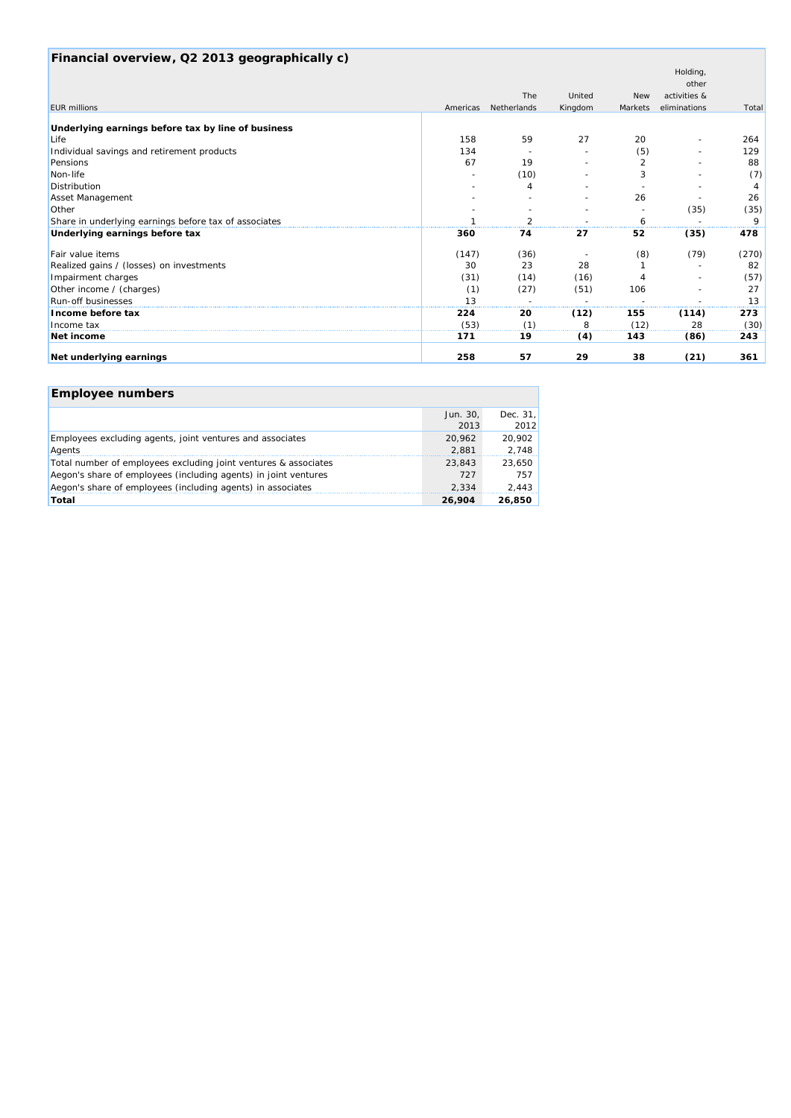## **Financial overview, Q2 2013 geographically c)**

|                                                       |          |             |         |                | Holding,<br>other |       |
|-------------------------------------------------------|----------|-------------|---------|----------------|-------------------|-------|
|                                                       |          | The         | United  | <b>New</b>     | activities &      |       |
| <b>EUR</b> millions                                   | Americas | Netherlands | Kingdom | Markets        | eliminations      | Total |
| Underlying earnings before tax by line of business    |          |             |         |                |                   |       |
| Life                                                  | 158      | 59          | 27      | 20             |                   | 264   |
| Individual savings and retirement products            | 134      |             |         | (5)            |                   | 129   |
| Pensions                                              | 67       | 19          |         | $\overline{2}$ |                   | 88    |
| Non-life                                              |          | (10)        |         | 3              |                   | (7)   |
| Distribution                                          |          | 4           |         |                |                   | 4     |
| <b>Asset Management</b>                               |          |             |         | 26             |                   | 26    |
| Other                                                 |          |             |         |                | (35)              | (35)  |
| Share in underlying earnings before tax of associates |          |             |         |                |                   | 9     |
| Underlying earnings before tax                        | 360      | 74          | 27      | 52             | (35)              | 478   |
| Fair value items                                      | (147)    | (36)        |         | (8)            | (79)              | (270) |
| Realized gains / (losses) on investments              | 30       | 23          | 28      |                |                   | 82    |
| Impairment charges                                    | (31)     | (14)        | (16)    |                |                   | (57)  |
| Other income / (charges)                              | (1)      | (27)        | (51)    | 106            |                   | 27    |
| Run-off businesses                                    | 13       |             |         |                |                   | 13    |
| Income before tax                                     | 224      | 20          | (12)    | 155            | (114)             | 273   |
| Income tax                                            | (53)     | (1)         | 8       | (12)           | 28                | (30)  |
| Net income                                            | 171      | 19          | (4)     | 143            | (86)              | 243   |
| Net underlying earnings                               | 258      | 57          | 29      | 38             | (21)              | 361   |

| <b>Employee numbers</b>                                         |                  |                  |
|-----------------------------------------------------------------|------------------|------------------|
|                                                                 | Jun. 30,<br>2013 | Dec. 31,<br>2012 |
| Employees excluding agents, joint ventures and associates       | 20.962           | 20.902           |
| Agents                                                          | 2.881            | 2.748            |
| Total number of employees excluding joint ventures & associates | 23.843           | 23,650           |
| Aegon's share of employees (including agents) in joint ventures | 727              | 757              |
| Aegon's share of employees (including agents) in associates     | 2.334            | 2.443            |
| Total                                                           | 26,904           | 26,850           |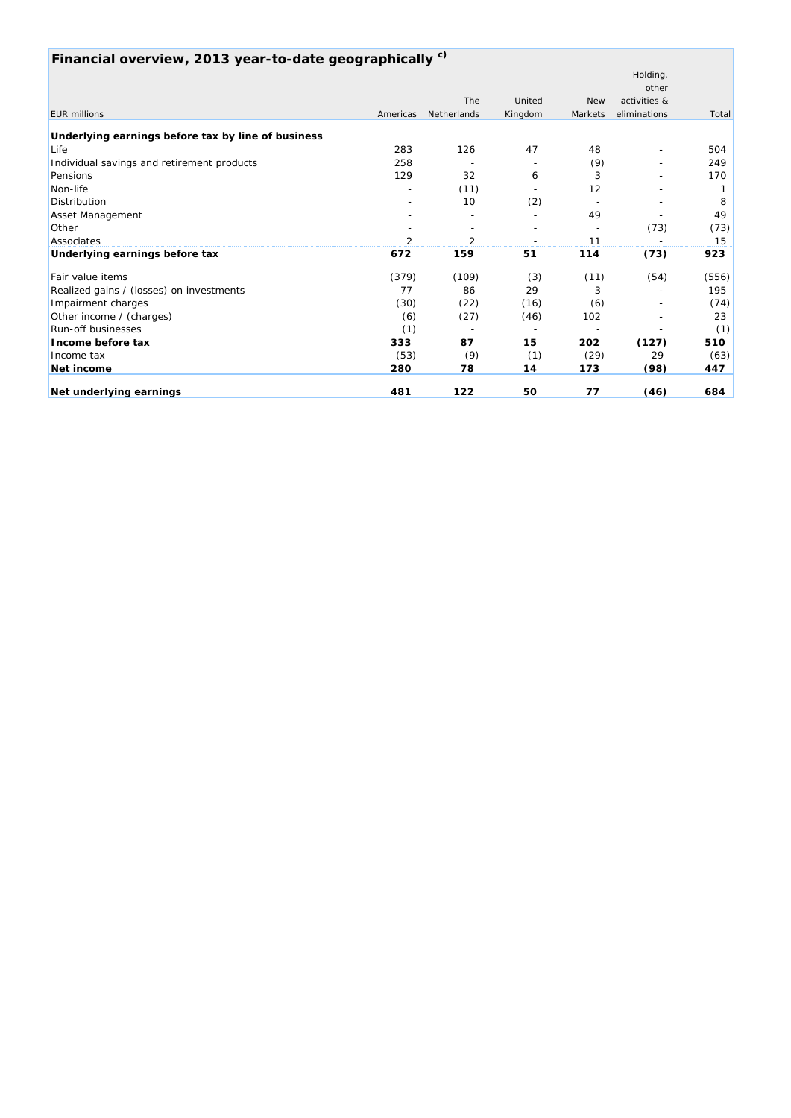| Financial overview, 2013 year-to-date geographically <sup>c)</sup> |          |                |         |            |              |       |
|--------------------------------------------------------------------|----------|----------------|---------|------------|--------------|-------|
|                                                                    |          |                |         |            | Holding,     |       |
|                                                                    |          |                |         |            | other        |       |
|                                                                    |          | The            | United  | <b>New</b> | activities & |       |
| <b>EUR</b> millions                                                | Americas | Netherlands    | Kingdom | Markets    | eliminations | Total |
| Underlying earnings before tax by line of business                 |          |                |         |            |              |       |
| Life                                                               | 283      | 126            | 47      | 48         |              | 504   |
| Individual savings and retirement products                         | 258      |                |         | (9)        |              | 249   |
| Pensions                                                           | 129      | 32             | 6       | 3          |              | 170   |
| Non-life                                                           |          | (11)           |         | 12         |              |       |
| Distribution                                                       |          | 10             | (2)     |            |              | 8     |
| Asset Management                                                   |          |                |         | 49         |              | 49    |
| Other                                                              |          |                |         |            | (73)         | (73)  |
| Associates                                                         | 2        | $\mathfrak{p}$ |         | 11         |              | 15    |
| Underlying earnings before tax                                     | 672      | 159            | 51      | 114        | (73)         | 923   |
| Fair value items                                                   | (379)    | (109)          | (3)     | (11)       | (54)         | (556) |
| Realized gains / (losses) on investments                           | 77       | 86             | 29      | 3          |              | 195   |
| Impairment charges                                                 | (30)     | (22)           | (16)    | (6)        |              | (74)  |
| Other income / (charges)                                           | (6)      | (27)           | (46)    | 102        |              | 23    |
| Run-off businesses                                                 | (1)      |                |         |            |              | (1)   |
| Income before tax                                                  | 333      | 87             | 15      | 202        | (127)        | 510   |
| Income tax                                                         | (53)     | (9)            | (1)     | (29)       | 29           | (63)  |
| Net income                                                         | 280      | 78             | 14      | 173        | (98)         | 447   |
| Net underlying earnings                                            | 481      | 122            | 50      | 77         | (46)         | 684   |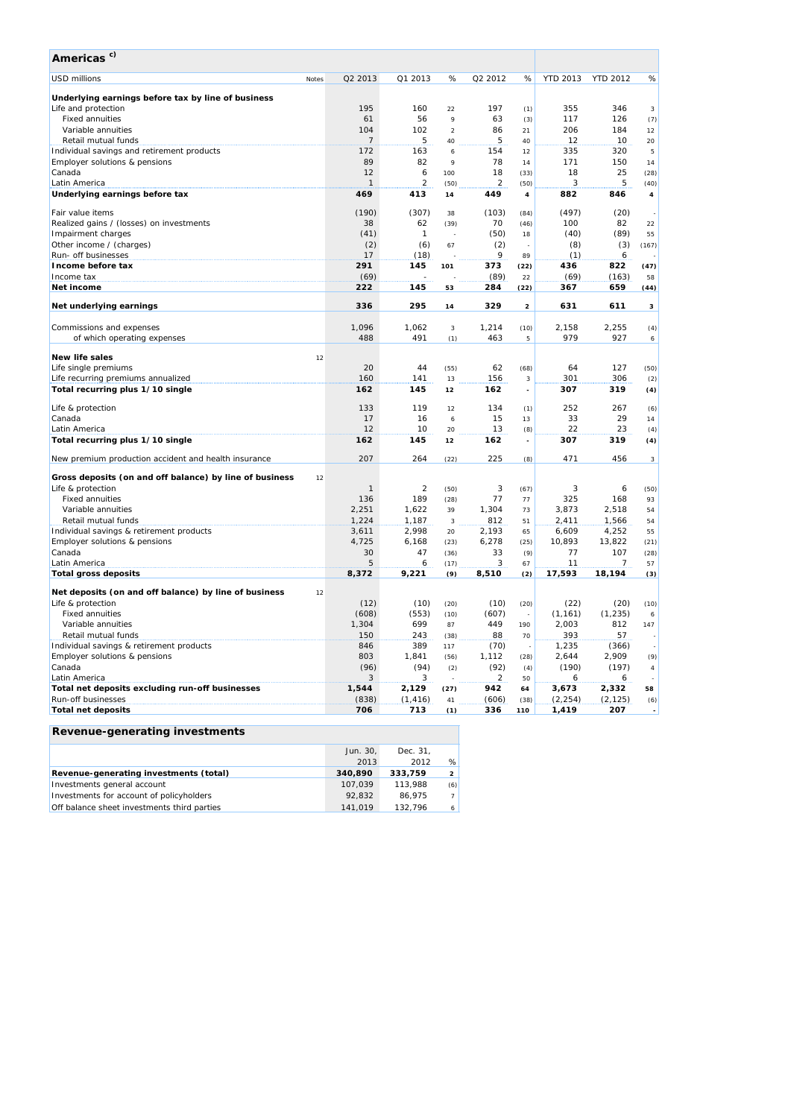| Americas <sup>c)</sup>                                        |              |                |                            |              |                  |                 |                 |                            |
|---------------------------------------------------------------|--------------|----------------|----------------------------|--------------|------------------|-----------------|-----------------|----------------------------|
| <b>USD millions</b><br><b>Notes</b>                           | Q2 2013      | Q1 2013        | $\%$                       | Q2 2012      | %                | <b>YTD 2013</b> | <b>YTD 2012</b> | %                          |
| Underlying earnings before tax by line of business            |              |                |                            |              |                  |                 |                 |                            |
| Life and protection                                           | 195          | 160            | 22                         | 197          | (1)              | 355             | 346             | $\sqrt{3}$                 |
| <b>Fixed annuities</b>                                        | 61           | 56             | 9                          | 63           | (3)              | 117             | 126             | (7)                        |
| Variable annuities                                            | 104          | 102            | $\overline{a}$             | 86           | 21               | 206             | 184             | 12                         |
| Retail mutual funds                                           | 7            | 5              | 40                         | 5            | 40               | 12              | 10              | 20                         |
| Individual savings and retirement products                    | 172          | 163            | 6                          | 154          | 12               | 335             | 320             | 5                          |
| Employer solutions & pensions                                 | 89           | 82             | $\circ$                    | 78           | 14               | 171             | 150             | 14                         |
| Canada                                                        | 12           | 6              | 100                        | 18           | (33)             | 18              | 25              | (28)                       |
| Latin America                                                 | $\mathbf{1}$ | $\overline{a}$ | (50)                       | 2            | (50)             | 3               | 5               | (40)                       |
| Underlying earnings before tax                                | 469          | 413            | 14                         | 449          | $\boldsymbol{4}$ | 882             | 846             | 4                          |
| Fair value items                                              | (190)        | (307)          | 38                         | (103)        | (84)             | (497)           | (20)            |                            |
| Realized gains / (losses) on investments                      | 38           | 62             | (39)                       | 70           | (46)             | 100             | 82              | 22                         |
| Impairment charges                                            | (41)         | 1              |                            | (50)         | 18               | (40)            | (89)            | 55                         |
| Other income / (charges)                                      | (2)          | (6)            | 67                         | (2)          |                  | (8)             | (3)             | (167)                      |
| Run- off businesses                                           | 17           | (18)           |                            | 9            | 89               | (1)             | 6               |                            |
| Income before tax                                             | 291          | 145            | 101                        | 373          | (22)             | 436             | 822             | (47)                       |
| Income tax                                                    | (69)         |                |                            | (89)         | 22               | (69)            | (163)           | 58                         |
| Net income                                                    | 222          | 145            | 53                         | 284          | (22)             | 367             | 659             | (44)                       |
| Net underlying earnings                                       | 336          | 295            | 14                         | 329          | $\overline{a}$   | 631             | 611             | 3                          |
|                                                               | 1,096        | 1,062          |                            |              |                  | 2,158           | 2,255           |                            |
| Commissions and expenses<br>of which operating expenses       | 488          | 491            | $\boldsymbol{\mathcal{Z}}$ | 1,214<br>463 | (10)<br>5        | 979             | 927             | (4)<br>6                   |
|                                                               |              |                | (1)                        |              |                  |                 |                 |                            |
| <b>New life sales</b><br>12                                   |              |                |                            |              |                  |                 |                 |                            |
| Life single premiums                                          | 20           | 44             | (55)                       | 62           | (68)             | 64              | 127             | (50)                       |
| Life recurring premiums annualized                            | 160          | 141            | 13                         | 156          | $\sqrt{3}$       | 301             | 306             | (2)                        |
| Total recurring plus 1/10 single                              | 162          | 145            | 12                         | 162          | ä,               | 307             | 319             | (4)                        |
| Life & protection                                             | 133          | 119            | 12                         | 134          | (1)              | 252             | 267             | (6)                        |
| Canada                                                        | 17           | 16             | 6                          | 15           | 13               | 33              | 29              | 14                         |
| Latin America                                                 | 12           | 10             | 20                         | 13           | (8)              | 22              | 23              | (4)                        |
| Total recurring plus 1/10 single                              | 162          | 145            | 12                         | 162          | $\overline{a}$   | 307             | 319             | (4)                        |
|                                                               |              |                |                            |              |                  |                 |                 |                            |
| New premium production accident and health insurance          | 207          | 264            | (22)                       | 225          | (8)              | 471             | 456             | $\boldsymbol{\mathcal{Z}}$ |
| Gross deposits (on and off balance) by line of business<br>12 |              |                |                            |              |                  |                 |                 |                            |
| Life & protection                                             | $\mathbf{1}$ | $\overline{2}$ | (50)                       | 3            | (67)             | 3               | 6               | (50)                       |
| <b>Fixed annuities</b>                                        | 136          | 189            | (28)                       | 77           | 77               | 325             | 168             | 93                         |
| Variable annuities                                            | 2,251        | 1,622          | 39                         | 1,304        | 73               | 3,873           | 2,518           | 54                         |
| Retail mutual funds                                           | 1,224        | 1,187          | 3                          | 812          | 51               | 2,411           | 1,566           | 54                         |
| Individual savings & retirement products                      | 3,611        | 2,998          | 20                         | 2,193        | 65               | 6,609           | 4,252           | 55                         |
| Employer solutions & pensions                                 | 4,725        | 6,168          | (23)                       | 6,278        | (25)             | 10,893          | 13,822          | (21)                       |
| Canada                                                        | 30           | 47             | (36)                       | 33           | (9)              | 77              | 107             | (28)                       |
| Latin America                                                 | 5            | 6              | (17)                       | 3            | 67               | 11              | 7               | 57                         |
| <b>Total gross deposits</b>                                   | 8,372        | 9,221          | (9)                        | 8,510        | (2)              | 17,593          | 18,194          | (3)                        |
| Net deposits (on and off balance) by line of business<br>12   |              |                |                            |              |                  |                 |                 |                            |
| Life & protection                                             | (12)         | (10)           | (20)                       | (10)         | (20)             | (22)            | (20)            | (10)                       |
| <b>Fixed annuities</b>                                        | (608)        | (553)          | (10)                       | (607)        |                  | (1, 161)        | (1, 235)        | 6                          |
| Variable annuities                                            | 1,304        | 699            | 87                         | 449          | 190              | 2,003           | 812             | 147                        |
| Retail mutual funds                                           | 150          | 243            | (38)                       | 88           | 70               | 393             | 57              |                            |
| Individual savings & retirement products                      | 846          | 389            | 117                        | (70)         |                  | 1,235           | (366)           |                            |
| Employer solutions & pensions                                 | 803          | 1,841          | (56)                       | 1,112        | (28)             | 2,644           | 2,909           | (9)                        |
| Canada                                                        | (96)         | (94)           | (2)                        | (92)         | (4)              | (190)           | (197)           | $\overline{4}$             |
| Latin America                                                 | 3            | 3              |                            | 2            | 50               | 6               | 6               |                            |
| Total net deposits excluding run-off businesses               | 1,544        | 2,129          | (27)                       | 942          | 64               | 3,673           | 2,332           | 58                         |
| Run-off businesses                                            | (838)        | (1, 416)       | 41                         | (606)        | (38)             | (2, 254)        | (2, 125)        | (6)                        |
| <b>Total net deposits</b>                                     | 706          | 713            | (1)                        | 336          | 110              | 1,419           | 207             |                            |

### **Revenue-generating investments**

|                                             | Jun. 30. | Dec. 31. |                |
|---------------------------------------------|----------|----------|----------------|
|                                             | 2013     | 2012     | %              |
| Revenue-generating investments (total)      | 340,890  | 333,759  | $\overline{2}$ |
| Investments general account                 | 107.039  | 113,988  | (6)            |
| Investments for account of policyholders    | 92.832   | 86.975   | $\overline{7}$ |
| Off balance sheet investments third parties | 141.019  | 132.796  | 6              |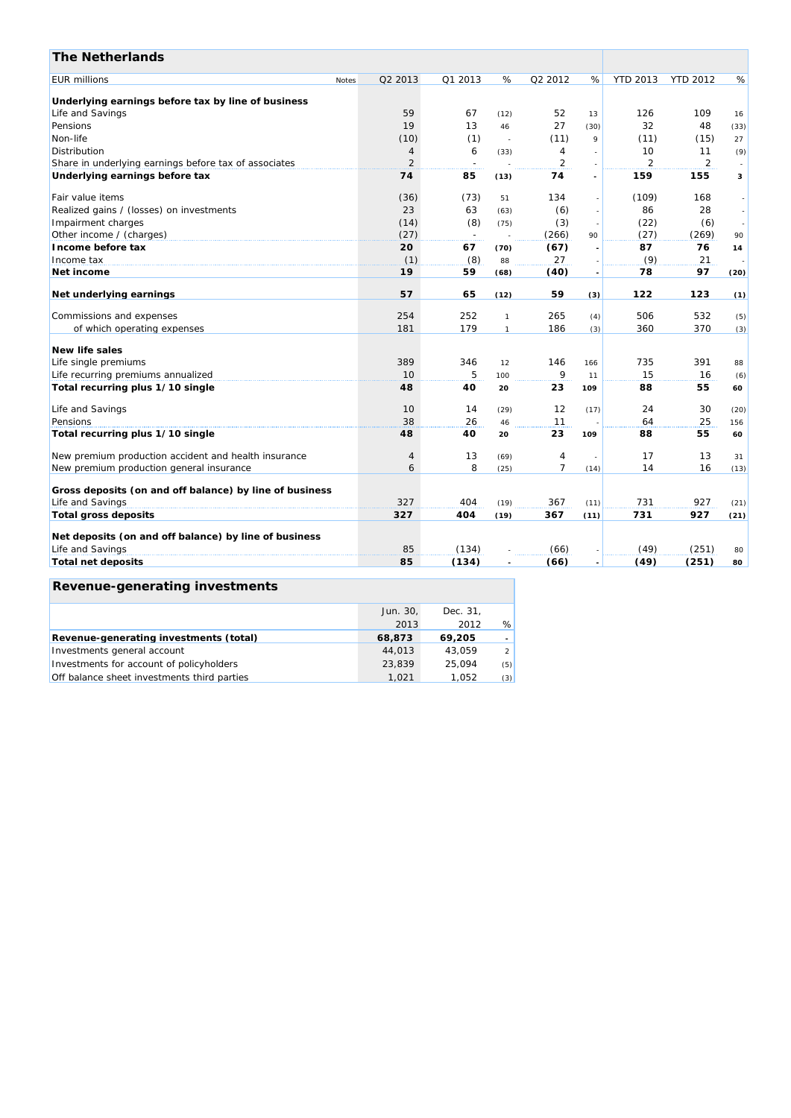| <b>The Netherlands</b>                                  |              |                |                          |               |                |                          |                 |                 |      |
|---------------------------------------------------------|--------------|----------------|--------------------------|---------------|----------------|--------------------------|-----------------|-----------------|------|
| <b>EUR</b> millions                                     | <b>Notes</b> | Q2 2013        | Q1 2013                  | %             | Q2 2012        | %                        | <b>YTD 2013</b> | <b>YTD 2012</b> | %    |
| Underlying earnings before tax by line of business      |              |                |                          |               |                |                          |                 |                 |      |
| Life and Savings                                        |              | 59             | 67                       | (12)          | 52             | 13                       | 126             | 109             | 16   |
| Pensions                                                |              | 19             | 13                       | 46            | 27             | (30)                     | 32              | 48              | (33) |
| Non-life                                                |              | (10)           | (1)                      |               | (11)           | 9                        | (11)            | (15)            | 27   |
| Distribution                                            |              | 4              | 6                        | (33)          | 4              |                          | 10              | 11              | (9)  |
| Share in underlying earnings before tax of associates   |              | $\overline{2}$ | $\overline{\phantom{a}}$ |               | 2              | ä,                       | $\overline{2}$  | $\overline{2}$  |      |
| Underlying earnings before tax                          |              | 74             | 85                       | (13)          | 74             | $\overline{\phantom{a}}$ | 159             | 155             | 3    |
| Fair value items                                        |              | (36)           | (73)                     | 51            | 134            |                          | (109)           | 168             |      |
| Realized gains / (losses) on investments                |              | 23             | 63                       | (63)          | (6)            |                          | 86              | 28              |      |
| Impairment charges                                      |              | (14)           | (8)                      | (75)          | (3)            |                          | (22)            | (6)             | ÷,   |
| Other income / (charges)                                |              | (27)           |                          |               | (266)          | 90                       | (27)            | (269)           | 90   |
| Income before tax                                       |              | 20             | 67                       | (70)          | (67)           |                          | 87              | 76              | 14   |
| Income tax                                              |              | (1)            | (8)                      | 88            | 27             |                          | (9)             | 21              |      |
| Net income                                              |              | 19             | 59                       | (68)          | (40)           | $\overline{\phantom{a}}$ | 78              | 97              | (20) |
| Net underlying earnings                                 |              | 57             | 65                       | (12)          | 59             | (3)                      | 122             | 123             | (1)  |
| Commissions and expenses                                |              | 254            | 252                      | $\mathcal{I}$ | 265            | (4)                      | 506             | 532             | (5)  |
| of which operating expenses                             |              | 181            | 179                      | $\mathcal{I}$ | 186            | (3)                      | 360             | 370             | (3)  |
| <b>New life sales</b>                                   |              |                |                          |               |                |                          |                 |                 |      |
| Life single premiums                                    |              | 389            | 346                      | 12            | 146            | 166                      | 735             | 391             | 88   |
| Life recurring premiums annualized                      |              | 10             | 5                        | 100           | 9              | 11                       | 15              | 16              | (6)  |
| Total recurring plus 1/10 single                        |              | 48             | 40                       | 20            | 23             | 109                      | 88              | 55              | 60   |
| Life and Savings                                        |              | 10             | 14                       | (29)          | 12             | (17)                     | 24              | 30              | (20) |
| Pensions                                                |              | 38             | 26                       | 46            | 11             |                          | 64              | 25              | 156  |
| Total recurring plus 1/10 single                        |              | 48             | 40                       | 20            | 23             | 109                      | 88              | 55              | 60   |
| New premium production accident and health insurance    |              | $\overline{4}$ | 13                       | (69)          | 4              | ä,                       | 17              | 13              | 31   |
| New premium production general insurance                |              | 6              | 8                        | (25)          | $\overline{7}$ | (14)                     | 14              | 16              | (13) |
| Gross deposits (on and off balance) by line of business |              |                |                          |               |                |                          |                 |                 |      |
| Life and Savings                                        |              | 327            | 404                      | (19)          | 367            | (11)                     | 731             | 927             | (21) |
| <b>Total gross deposits</b>                             |              | 327            | 404                      | (19)          | 367            | (11)                     | 731             | 927             | (21) |
| Net deposits (on and off balance) by line of business   |              |                |                          |               |                |                          |                 |                 |      |
| Life and Savings                                        |              | 85             | (134)                    |               | (66)           |                          | (49)            | (251)           | 80   |
| <b>Total net deposits</b>                               |              | 85             | (134)                    |               | (66)           | $\overline{\phantom{a}}$ | (49)            | (251)           | 80   |
|                                                         |              |                |                          |               |                |                          |                 |                 |      |
| Revenue-generating investments                          |              |                |                          |               |                |                          |                 |                 |      |

|                                             | Jun. 30, | Dec. 31. |                |
|---------------------------------------------|----------|----------|----------------|
|                                             | 2013     | 2012     | %              |
| Revenue-generating investments (total)      | 68,873   | 69,205   |                |
| Investments general account                 | 44.013   | 43.059   | $\overline{2}$ |
| Investments for account of policyholders    | 23.839   | 25.094   | (5)            |
| Off balance sheet investments third parties | 1,021    | 1.052    | (3)            |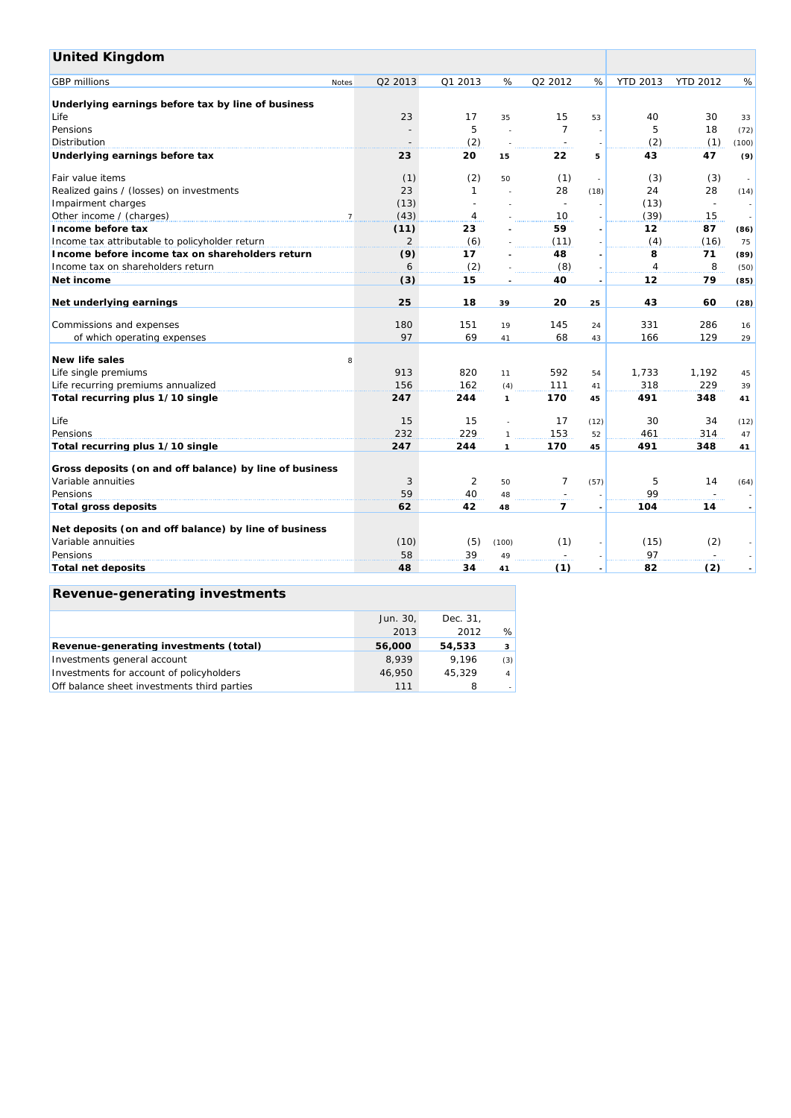| <b>United Kingdom</b>                                   |                        |              |              |                          |                          |                 |                          |        |
|---------------------------------------------------------|------------------------|--------------|--------------|--------------------------|--------------------------|-----------------|--------------------------|--------|
| <b>GBP</b> millions                                     | Q2 2013<br>Notes       | Q1 2013      | %            | Q2 2012                  | %                        | <b>YTD 2013</b> | <b>YTD 2012</b>          | %      |
| Underlying earnings before tax by line of business      |                        |              |              |                          |                          |                 |                          |        |
| Life                                                    | 23                     | 17           | 35           | 15                       | 53                       | 40              | 30                       | 33     |
| Pensions                                                |                        | 5            |              | $\overline{7}$           |                          | 5               | 18                       | (72)   |
| Distribution                                            |                        | (2)          |              |                          |                          | (2)             | (1)                      | (100)  |
| Underlying earnings before tax                          | 23                     | 20           | 15           | 22                       | 5                        | 43              | 47                       | (9)    |
| Fair value items                                        | (1)                    | (2)          | 50           | (1)                      |                          | (3)             | (3)                      |        |
| Realized gains / (losses) on investments                | 23                     | $\mathbf{1}$ |              | 28                       | (18)                     | 24              | 28                       | (14)   |
| Impairment charges                                      | (13)                   |              |              | $\overline{\phantom{a}}$ |                          | (13)            | $\overline{\phantom{a}}$ |        |
| Other income / (charges)                                | (43)<br>$\overline{7}$ | 4            |              | 10                       |                          | (39)            | 15                       | $\sim$ |
| Income before tax                                       | (11)                   | 23           |              | 59                       |                          | 12              | 87                       | (86)   |
| Income tax attributable to policyholder return          | $\overline{2}$         | (6)          |              | (11)                     |                          | (4)             | (16)                     | 75     |
| Income before income tax on shareholders return         | (9)                    | 17           |              | 48                       |                          | 8               | 71                       | (89)   |
| Income tax on shareholders return                       | 6                      | (2)          |              | (8)                      |                          | 4               | 8                        | (50)   |
| Net income                                              | (3)                    | 15           |              | 40                       | $\overline{\phantom{a}}$ | 12              | 79                       | (85)   |
| Net underlying earnings                                 | 25                     | 18           | 39           | 20                       | 25                       | 43              | 60                       | (28)   |
|                                                         | 180                    | 151          |              | 145                      |                          | 331             | 286                      |        |
| Commissions and expenses<br>of which operating expenses | 97                     | 69           | 19           | 68                       | 24                       | 166             | 129                      | 16     |
|                                                         |                        |              | 41           |                          | 43                       |                 |                          | 29     |
| <b>New life sales</b>                                   | 8                      |              |              |                          |                          |                 |                          |        |
| Life single premiums                                    | 913                    | 820          | 11           | 592                      | 54                       | 1,733           | 1,192                    | 45     |
| Life recurring premiums annualized                      | 156                    | 162          | (4)          | 111                      | 41                       | 318             | 229                      | 39     |
| Total recurring plus 1/10 single                        | 247                    | 244          | $\mathbf{1}$ | 170                      | 45                       | 491             | 348                      | 41     |
| Life                                                    | 15                     | 15           |              | 17                       | (12)                     | 30              | 34                       | (12)   |
| Pensions                                                | 232                    | 229          | $\mathcal I$ | 153                      | 52                       | 461             | 314                      | 47     |
| Total recurring plus 1/10 single                        | 247                    | 244          | $\mathbf{1}$ | 170                      | 45                       | 491             | 348                      | 41     |
| Gross deposits (on and off balance) by line of business |                        |              |              |                          |                          |                 |                          |        |
| Variable annuities                                      | 3                      | 2            | 50           | 7                        | (57)                     | 5               | 14                       | (64)   |
| Pensions                                                | 59                     | 40           | 48           |                          |                          | 99              |                          |        |
| <b>Total gross deposits</b>                             | 62                     | 42           | 48           | $\overline{7}$           |                          | 104             | 14                       |        |
| Net deposits (on and off balance) by line of business   |                        |              |              |                          |                          |                 |                          |        |
| Variable annuities                                      | (10)                   | (5)          | (100)        | (1)                      |                          | (15)            | (2)                      |        |
| Pensions                                                | 58                     | 39           | 49           |                          |                          | 97              |                          |        |
| <b>Total net deposits</b>                               | 48                     | 34           | 41           | (1)                      | $\overline{\phantom{a}}$ | 82              | (2)                      |        |
|                                                         |                        |              |              |                          |                          |                 |                          |        |

### **Revenue-generating investments**

|                                             | Jun. 30, | Dec. 31. |                |
|---------------------------------------------|----------|----------|----------------|
|                                             | 2013     | 2012     | %              |
| Revenue-generating investments (total)      | 56,000   | 54,533   | $\mathbf{3}$   |
| Investments general account                 | 8.939    | 9.196    | (3)            |
| Investments for account of policyholders    | 46.950   | 45.329   | $\overline{a}$ |
| Off balance sheet investments third parties | 111      | 8        |                |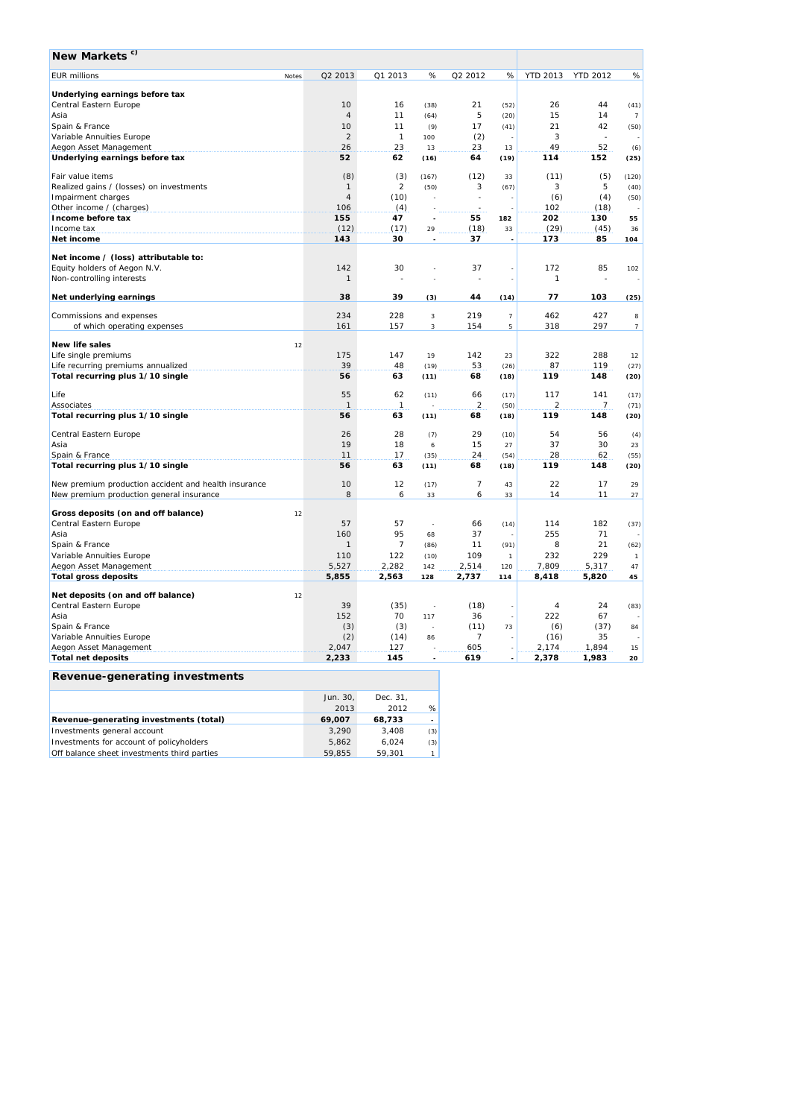| C)<br><b>New Markets</b>                                |                  |              |            |                |                |                 |                 |                                              |
|---------------------------------------------------------|------------------|--------------|------------|----------------|----------------|-----------------|-----------------|----------------------------------------------|
| <b>EUR</b> millions                                     | Q2 2013<br>Notes | Q1 2013      | $\%$       | Q2 2012        | $\%$           | <b>YTD 2013</b> | <b>YTD 2012</b> | %                                            |
| Underlying earnings before tax                          |                  |              |            |                |                |                 |                 |                                              |
| Central Eastern Europe                                  | 10               | 16           | (38)       | 21             | (52)           | 26              | 44              | (41)                                         |
| Asia                                                    | $\overline{4}$   | 11           | (64)       | 5              | (20)           | 15              | 14              | $\overline{7}$                               |
| Spain & France                                          | 10               | 11           | (9)        | 17             | (41)           | 21              | 42              | (50)                                         |
| Variable Annuities Europe                               | $\overline{2}$   | $\mathbf{1}$ | 100        | (2)            |                | 3               | ÷               |                                              |
| Aegon Asset Management                                  | 26               | 23           | 13         | 23             | 13             | 49              | 52              | (6)                                          |
| Underlying earnings before tax                          | 52               | 62           | (16)       | 64             | (19)           | 114             | 152             | (25)                                         |
| Fair value items                                        | (8)              | (3)          | (167)      | (12)           | 33             | (11)            | (5)             | (120)                                        |
| Realized gains / (losses) on investments                | $\mathbf{1}$     | 2            | (50)       | 3              | (67)           | 3               | 5               | (40)                                         |
| Impairment charges                                      | $\overline{4}$   | (10)         |            | ä,             |                | (6)             | (4)             | (50)                                         |
| Other income / (charges)                                | 106              | (4)          |            |                |                | 102             | (18)            |                                              |
| Income before tax                                       | 155              | 47           |            | 55             | 182            | 202             | 130             | 55                                           |
| Income tax                                              | (12)             | (17)         | 29         | (18)           | 33             | (29)            | (45)            | 36                                           |
| Net income                                              | 143              | 30           |            | 37             |                | 173             | 85              | 104                                          |
| Net income / (loss) attributable to:                    |                  |              |            |                |                |                 |                 |                                              |
| Equity holders of Aegon N.V.                            | 142              | 30           |            | 37             |                | 172             | 85              | 102                                          |
| Non-controlling interests                               | $\mathcal{I}$    |              |            |                |                | $\mathcal{I}$   |                 |                                              |
| Net underlying earnings                                 | 38               | 39           | (3)        | 44             | (14)           | 77              | 103             | (25)                                         |
|                                                         | 234              | 228          | 3          | 219            | $\overline{7}$ | 462             | 427             |                                              |
| Commissions and expenses<br>of which operating expenses | 161              | 157          | $\sqrt{3}$ | 154            | 5              | 318             | 297             | $\boldsymbol{s}$<br>$\overline{\phantom{a}}$ |
|                                                         |                  |              |            |                |                |                 |                 |                                              |
| New life sales                                          | 12               |              |            |                |                |                 |                 |                                              |
| Life single premiums                                    | 175              | 147          | 19         | 142            | 23             | 322             | 288             | 12                                           |
| Life recurring premiums annualized                      | 39               | 48           | (19)       | 53             | (26)           | 87              | 119             | (27)                                         |
| Total recurring plus 1/10 single                        | 56               | 63           | (11)       | 68             | (18)           | 119             | 148             | (20)                                         |
| Life                                                    | 55               | 62           | (11)       | 66             | (17)           | 117             | 141             | (17)                                         |
| Associates                                              | $\mathbf{1}$     | $\mathbf{1}$ |            | $\overline{2}$ | (50)           | 2               | $\overline{7}$  | (71)                                         |
| Total recurring plus 1/10 single                        | 56               | 63           | (11)       | 68             | (18)           | 119             | 148             | (20)                                         |
| Central Eastern Europe                                  | 26               | 28           | (7)        | 29             | (10)           | 54              | 56              | (4)                                          |
| Asia                                                    | 19               | 18           | 6          | 15             | 27             | 37              | 30              | 23                                           |
| Spain & France                                          | 11               | 17           | (35)       | 24             | (54)           | 28              | 62              | (55)                                         |
| Total recurring plus 1/10 single                        | 56               | 63           | (11)       | 68             | (18)           | 119             | 148             | (20)                                         |
| New premium production accident and health insurance    | 10               | 12           | (17)       | $\overline{7}$ | 43             | 22              | 17              | 29                                           |
| New premium production general insurance                | 8                | 6            | 33         | 6              | 33             | 14              | 11              | 27                                           |
| Gross deposits (on and off balance)                     | 12               |              |            |                |                |                 |                 |                                              |
| Central Eastern Europe                                  | 57               | 57           | ×.         | 66             | (14)           | 114             | 182             | (37)                                         |
| Asia                                                    | 160              | 95           | 68         | 37             |                | 255             | 71              |                                              |
| Spain & France                                          | 1                | 7            | (86)       | 11             | (91)           | 8               | 21              | (62)                                         |
| Variable Annuities Europe                               | 110              | 122          | (10)       | 109            | $\it 7$        | 232             | 229             | $\boldsymbol{\eta}$                          |
| Aegon Asset Management                                  | 5,527            | 2,282        | 142        | 2,514          | 120            | 7,809           | 5,317           | 47                                           |
| <b>Total gross deposits</b>                             | 5,855            | 2,563        | 128        | 2,737          | 114            | 8,418           | 5,820           | 45                                           |
| Net deposits (on and off balance)                       | 12               |              |            |                |                |                 |                 |                                              |
| Central Eastern Europe                                  | 39               | (35)         |            | (18)           |                | $\overline{4}$  | 24              | (83)                                         |
| Asia                                                    | 152              | 70           | 117        | 36             |                | 222             | 67              |                                              |
| Spain & France                                          | (3)              | (3)          |            | (11)           | 73             | (6)             | (37)            | 84                                           |
| Variable Annuities Europe                               | (2)              | (14)         | 86         | 7              |                | (16)            | 35              |                                              |
| Aegon Asset Management                                  | 2,047            | 127          |            | 605            |                | 2,174           | 1,894           | 15                                           |
| <b>Total net deposits</b>                               | 2,233            | 145          |            | 619            |                | 2,378           | 1,983           | 20                                           |
| Revenue-generating investments                          |                  |              |            |                |                |                 |                 |                                              |

|                                             | Jun. 30. | Dec. 31. |        |
|---------------------------------------------|----------|----------|--------|
|                                             | 2013     | 2012     | %      |
| Revenue-generating investments (total)      | 69.007   | 68,733   | $\sim$ |
| Investments general account                 | 3.290    | 3.408    | (3)    |
| Investments for account of policyholders    | 5.862    | 6.024    | (3)    |
| Off balance sheet investments third parties | 59.855   | 59.301   |        |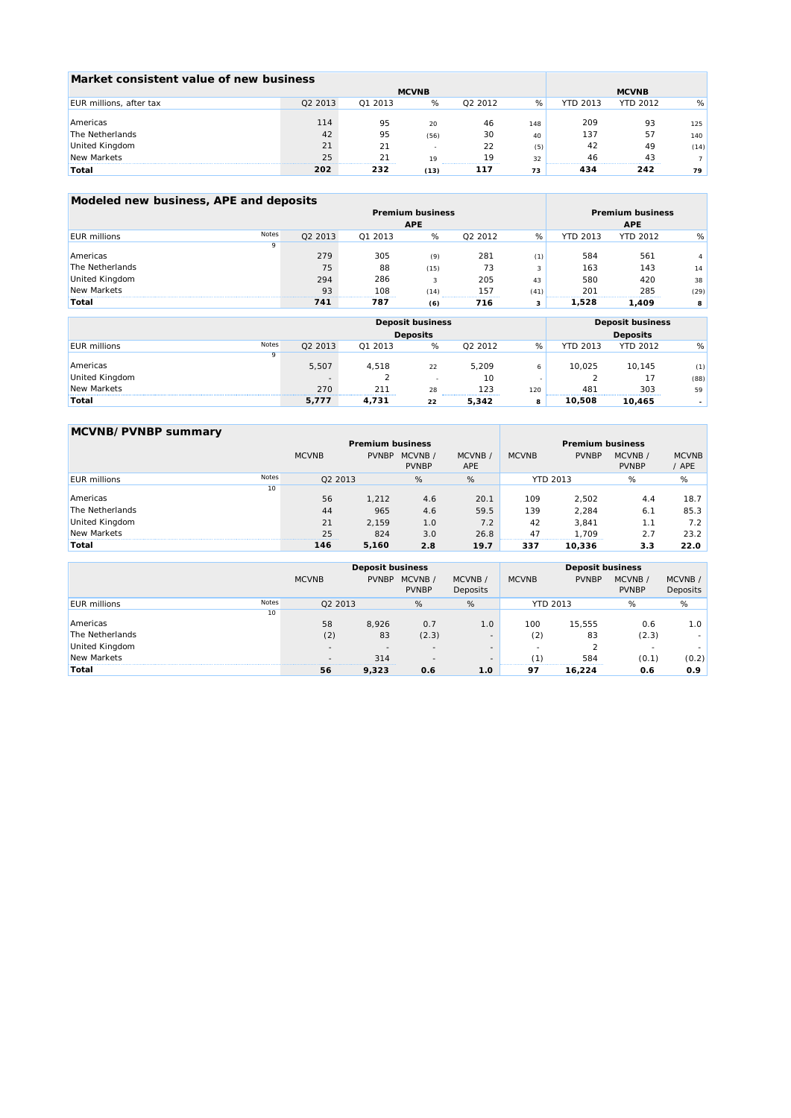| Market consistent value of new business |                     |         |      |         |     |                 |                 |      |  |  |
|-----------------------------------------|---------------------|---------|------|---------|-----|-----------------|-----------------|------|--|--|
|                                         | <b>MCVNB</b>        |         |      |         |     |                 |                 |      |  |  |
| EUR millions, after tax                 | Q <sub>2</sub> 2013 | Q1 2013 | %    | 02 2012 | %   | <b>YTD 2013</b> | <b>YTD 2012</b> | %    |  |  |
|                                         |                     |         |      |         |     |                 |                 |      |  |  |
| Americas                                | 114                 | 95      | 20   | 46      | 148 | 209             | 93              | 125  |  |  |
| The Netherlands                         | 42                  | 95      | (56) | 30      | 40  | 137             | 57              | 140  |  |  |
| United Kingdom                          | 21                  |         |      | 22      | (5) | 42              | 49              | (14) |  |  |
| New Markets                             | 25                  | 21      | 10   |         | 32  | 46              | 43              |      |  |  |
| Total                                   | 202                 | 232     | (13) | 117     | 73  | 434             | 242             | 79   |  |  |

| Modeled new business, APE and deposits |              |         |                         |                         |                     |            |                 |                 |      |  |
|----------------------------------------|--------------|---------|-------------------------|-------------------------|---------------------|------------|-----------------|-----------------|------|--|
|                                        |              |         | <b>Premium business</b> | <b>Premium business</b> |                     |            |                 |                 |      |  |
| <b>APE</b>                             |              |         |                         |                         |                     | <b>APE</b> |                 |                 |      |  |
| <b>EUR</b> millions                    | <b>Notes</b> | Q2 2013 | Q1 2013                 | %                       | Q <sub>2</sub> 2012 | %          | <b>YTD 2013</b> | <b>YTD 2012</b> | %    |  |
|                                        |              |         |                         |                         |                     |            |                 |                 |      |  |
| Americas                               |              | 279     | 305                     | (9)                     | 281                 | (1)        | 584             | 561             |      |  |
| The Netherlands                        |              | 75      | 88                      | (15)                    | 73                  |            | 163             | 143             | 14   |  |
| United Kingdom                         |              | 294     | 286                     |                         | 205                 | 43         | 580             | 420             | 38   |  |
| New Markets                            |              | 93      | 108                     | (14)                    | 157                 | (41)       | 201             | 285             | (29) |  |
| Total                                  |              | 741     | 787                     | (6)                     | 716                 | 3          | 1.528           | 1.409           | 8    |  |

|                     |              |         | <b>Deposit business</b> | <b>Deposit business</b><br><b>Deposits</b> |                     |     |          |                 |      |
|---------------------|--------------|---------|-------------------------|--------------------------------------------|---------------------|-----|----------|-----------------|------|
|                     | <b>Notes</b> |         |                         | <b>Deposits</b>                            |                     |     |          |                 |      |
| <b>EUR</b> millions |              | Q2 2013 | Q1 2013                 | %                                          | Q <sub>2</sub> 2012 | %   | YTD 2013 | <b>YTD 2012</b> | %    |
|                     | 9            |         |                         |                                            |                     |     |          |                 |      |
| Americas            |              | 5,507   | 4,518                   | 22                                         | 5.209               | 6   | 10.025   | 10.145          | (1)  |
| United Kingdom      |              |         | ∠                       |                                            | 10                  |     |          | 17              | (88) |
| New Markets         |              | 270     | 211                     | 28                                         | 123                 | 120 | 481      | 303             | 59   |
| Total               |              | 5,777   | 4.731                   | 22                                         | 5,342               | 8   | 10,508   | 10,465          |      |

| MCVNB/PVNBP summary   |              |                     |              |                         |                       |                         |              |                         |                       |  |
|-----------------------|--------------|---------------------|--------------|-------------------------|-----------------------|-------------------------|--------------|-------------------------|-----------------------|--|
|                       |              |                     |              | <b>Premium business</b> |                       | <b>Premium business</b> |              |                         |                       |  |
|                       |              | <b>MCVNB</b>        | <b>PVNBP</b> | MCVNB /<br><b>PVNBP</b> | MCVNB /<br><b>APE</b> | <b>MCVNB</b>            | <b>PVNBP</b> | MCVNB /<br><b>PVNBP</b> | <b>MCVNB</b><br>/ APE |  |
| <b>EUR</b> millions   | <b>Notes</b> | Q <sub>2</sub> 2013 |              | %                       | %                     | <b>YTD 2013</b>         |              | %                       | %                     |  |
|                       | 10           |                     |              |                         |                       |                         |              |                         |                       |  |
| Americas              |              | 56                  | 1.212        | 4.6                     | 20.1                  | 109                     | 2.502        | 4.4                     | 18.7                  |  |
| The Netherlands       |              | 44                  | 965          | 4.6                     | 59.5                  | 139                     | 2.284        | 6.1                     | 85.3                  |  |
| <b>United Kingdom</b> |              | 21                  | 2.159        | 1.0                     | 7.2                   | 42                      | 3.841        | 1.1                     | 7.2                   |  |
| <b>New Markets</b>    |              | 25                  | 824          | 3.0                     | 26.8                  | 47                      | .709         | 2.7                     | 23.2                  |  |
| Total                 |              | 146                 | 5.160        | 2.8                     | 19.7                  | 337                     | 10.336       | 3.3                     | 22.0                  |  |

|                                     |                     | <b>Deposit business</b> |                         |                     | <b>Deposit business</b> |                 |                         |                     |
|-------------------------------------|---------------------|-------------------------|-------------------------|---------------------|-------------------------|-----------------|-------------------------|---------------------|
|                                     | <b>MCVNB</b>        | <b>PVNBP</b>            | MCVNB /<br><b>PVNBP</b> | MCVNB /<br>Deposits | <b>MCVNB</b>            | <b>PVNBP</b>    | MCVNB /<br><b>PVNBP</b> | MCVNB /<br>Deposits |
| <b>Notes</b><br><b>EUR</b> millions | Q <sub>2</sub> 2013 |                         | %                       | %                   |                         | <b>YTD 2013</b> | %                       | %                   |
| 10                                  |                     |                         |                         |                     |                         |                 |                         |                     |
| Americas                            | 58                  | 8.926                   | 0.7                     | 1.0                 | 100                     | 15,555          | 0.6                     | 1.0                 |
| The Netherlands                     | (2)                 | 83                      | (2.3)                   |                     | (2)                     | 83              | (2.3)                   |                     |
| United Kingdom                      |                     | ۰                       |                         |                     |                         |                 | ۰                       |                     |
| New Markets                         |                     | 314                     | $\sim$                  | $\sim$              | 11<br>.                 | 584             | (0.1)                   | (0.2)               |
| Total                               | 56                  | 9,323                   | 0.6                     | 1.0                 | 97                      | 16,224          | 0.6                     | 0.9                 |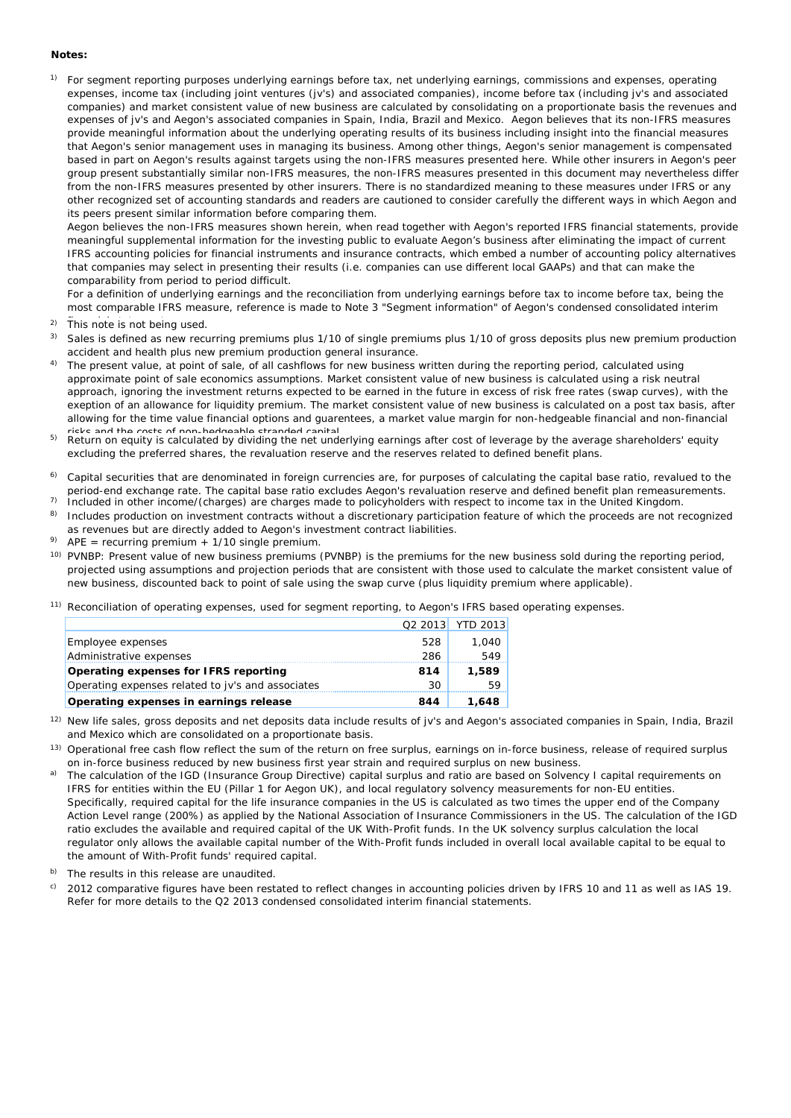#### **Notes:**

1) For segment reporting purposes underlying earnings before tax, net underlying earnings, commissions and expenses, operating expenses, income tax (including joint ventures (jv's) and associated companies), income before tax (including jv's and associated companies) and market consistent value of new business are calculated by consolidating on a proportionate basis the revenues and expenses of jv's and Aegon's associated companies in Spain, India, Brazil and Mexico. Aegon believes that its non-IFRS measures provide meaningful information about the underlying operating results of its business including insight into the financial measures that Aegon's senior management uses in managing its business. Among other things, Aegon's senior management is compensated based in part on Aegon's results against targets using the non-IFRS measures presented here. While other insurers in Aegon's peer group present substantially similar non-IFRS measures, the non-IFRS measures presented in this document may nevertheless differ from the non-IFRS measures presented by other insurers. There is no standardized meaning to these measures under IFRS or any other recognized set of accounting standards and readers are cautioned to consider carefully the different ways in which Aegon and its peers present similar information before comparing them.

Aegon believes the non-IFRS measures shown herein, when read together with Aegon's reported IFRS financial statements, provide meaningful supplemental information for the investing public to evaluate Aegon's business after eliminating the impact of current IFRS accounting policies for financial instruments and insurance contracts, which embed a number of accounting policy alternatives that companies may select in presenting their results (i.e. companies can use different local GAAPs) and that can make the comparability from period to period difficult.

For a definition of underlying earnings and the reconciliation from underlying earnings before tax to income before tax, being the most comparable IFRS measure, reference is made to Note 3 "Segment information" of Aegon's condensed consolidated interim

- $2)$ This note is not being used.
- 3) Sales is defined as new recurring premiums plus 1/10 of single premiums plus 1/10 of gross deposits plus new premium production accident and health plus new premium production general insurance.
- 4) The present value, at point of sale, of all cashflows for new business written during the reporting period, calculated using approximate point of sale economics assumptions. Market consistent value of new business is calculated using a risk neutral approach, ignoring the investment returns expected to be earned in the future in excess of risk free rates (swap curves), with the exeption of an allowance for liquidity premium. The market consistent value of new business is calculated on a post tax basis, after allowing for the time value financial options and guarentees, a market value margin for non-hedgeable financial and non-financial risks and the costs of non-hedgeable stranded capital
- 5) Return on equity is calculated by dividing the net underlying earnings after cost of leverage by the average shareholders' equity excluding the preferred shares, the revaluation reserve and the reserves related to defined benefit plans.
- 6) 7) Capital securities that are denominated in foreign currencies are, for purposes of calculating the capital base ratio, revalued to the period-end exchange rate. The capital base ratio excludes Aegon's revaluation reserve and defined benefit plan remeasurements.
- 8) Includes production on investment contracts without a discretionary participation feature of which the proceeds are not recognized as revenues but are directly added to Aegon's investment contract liabilities. Included in other income/(charges) are charges made to policyholders with respect to income tax in the United Kingdom.
- 9)  $APE = recurring premium + 1/10 single premium$ .
- <sup>10)</sup> PVNBP: Present value of new business premiums (PVNBP) is the premiums for the new business sold during the reporting period, projected using assumptions and projection periods that are consistent with those used to calculate the market consistent value of new business, discounted back to point of sale using the swap curve (plus liquidity premium where applicable).

<sup>11)</sup> Reconciliation of operating expenses, used for segment reporting, to Aegon's IFRS based operating expenses.

| Employee expenses<br>Administrative expenses      | 528<br>286 | 1.040<br>549 |
|---------------------------------------------------|------------|--------------|
| <b>Operating expenses for IFRS reporting</b>      | 814        | 1,589        |
| Operating expenses related to jv's and associates | 30         | 59           |
| Operating expenses in earnings release            | 844        | 1.648        |

<sup>12)</sup> New life sales, gross deposits and net deposits data include results of jv's and Aegon's associated companies in Spain, India, Brazil and Mexico which are consolidated on a proportionate basis.

- <sup>13)</sup> Operational free cash flow reflect the sum of the return on free surplus, earnings on in-force business, release of required surplus on in-force business reduced by new business first year strain and required surplus on new business.
- a) The calculation of the IGD (Insurance Group Directive) capital surplus and ratio are based on Solvency I capital requirements on IFRS for entities within the EU (Pillar 1 for Aegon UK), and local regulatory solvency measurements for non-EU entities. Specifically, required capital for the life insurance companies in the US is calculated as two times the upper end of the Company Action Level range (200%) as applied by the National Association of Insurance Commissioners in the US. The calculation of the IGD ratio excludes the available and required capital of the UK With-Profit funds. In the UK solvency surplus calculation the local regulator only allows the available capital number of the With-Profit funds included in overall local available capital to be equal to the amount of With-Profit funds' required capital.

b) The results in this release are unaudited.

c) 2012 comparative figures have been restated to reflect changes in accounting policies driven by IFRS 10 and 11 as well as IAS 19. Refer for more details to the Q2 2013 condensed consolidated interim financial statements.